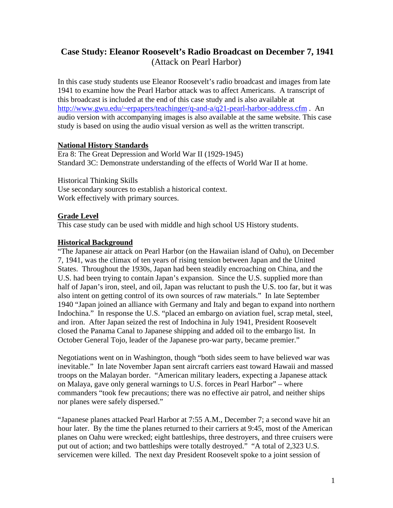# **Case Study: Eleanor Roosevelt's Radio Broadcast on December 7, 1941** (Attack on Pearl Harbor)

In this case study students use Eleanor Roosevelt's radio broadcast and images from late 1941 to examine how the Pearl Harbor attack was to affect Americans. A transcript of this broadcast is included at the end of this case study and is also available at http://www.gwu.edu/~erpapers/teachinger/q-and-a/q21-pearl-harbor-address.cfm . An audio version with accompanying images is also available at the same website. This case study is based on using the audio visual version as well as the written transcript.

### **National History Standards**

Era 8: The Great Depression and World War II (1929-1945) Standard 3C: Demonstrate understanding of the effects of World War II at home.

Historical Thinking Skills Use secondary sources to establish a historical context. Work effectively with primary sources.

### **Grade Level**

This case study can be used with middle and high school US History students.

### **Historical Background**

"The Japanese air attack on Pearl Harbor (on the Hawaiian island of Oahu), on December 7, 1941, was the climax of ten years of rising tension between Japan and the United States. Throughout the 1930s, Japan had been steadily encroaching on China, and the U.S. had been trying to contain Japan's expansion. Since the U.S. supplied more than half of Japan's iron, steel, and oil, Japan was reluctant to push the U.S. too far, but it was also intent on getting control of its own sources of raw materials." In late September 1940 "Japan joined an alliance with Germany and Italy and began to expand into northern Indochina." In response the U.S. "placed an embargo on aviation fuel, scrap metal, steel, and iron. After Japan seized the rest of Indochina in July 1941, President Roosevelt closed the Panama Canal to Japanese shipping and added oil to the embargo list. In October General Tojo, leader of the Japanese pro-war party, became premier."

Negotiations went on in Washington, though "both sides seem to have believed war was inevitable." In late November Japan sent aircraft carriers east toward Hawaii and massed troops on the Malayan border. "American military leaders, expecting a Japanese attack on Malaya, gave only general warnings to U.S. forces in Pearl Harbor" – where commanders "took few precautions; there was no effective air patrol, and neither ships nor planes were safely dispersed."

"Japanese planes attacked Pearl Harbor at 7:55 A.M., December 7; a second wave hit an hour later. By the time the planes returned to their carriers at 9:45, most of the American planes on Oahu were wrecked; eight battleships, three destroyers, and three cruisers were put out of action; and two battleships were totally destroyed." "A total of 2,323 U.S. servicemen were killed. The next day President Roosevelt spoke to a joint session of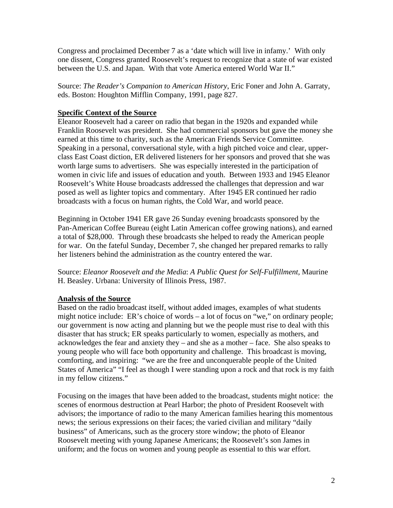Congress and proclaimed December 7 as a 'date which will live in infamy.' With only one dissent, Congress granted Roosevelt's request to recognize that a state of war existed between the U.S. and Japan. With that vote America entered World War II."

Source: *The Reader's Companion to American History*, Eric Foner and John A. Garraty, eds. Boston: Houghton Mifflin Company, 1991, page 827.

## **Specific Context of the Source**

Eleanor Roosevelt had a career on radio that began in the 1920s and expanded while Franklin Roosevelt was president. She had commercial sponsors but gave the money she earned at this time to charity, such as the American Friends Service Committee. Speaking in a personal, conversational style, with a high pitched voice and clear, upperclass East Coast diction, ER delivered listeners for her sponsors and proved that she was worth large sums to advertisers. She was especially interested in the participation of women in civic life and issues of education and youth. Between 1933 and 1945 Eleanor Roosevelt's White House broadcasts addressed the challenges that depression and war posed as well as lighter topics and commentary. After 1945 ER continued her radio broadcasts with a focus on human rights, the Cold War, and world peace.

Beginning in October 1941 ER gave 26 Sunday evening broadcasts sponsored by the Pan-American Coffee Bureau (eight Latin American coffee growing nations), and earned a total of \$28,000. Through these broadcasts she helped to ready the American people for war. On the fateful Sunday, December 7, she changed her prepared remarks to rally her listeners behind the administration as the country entered the war.

Source: *Eleanor Roosevelt and the Media*: *A Public Quest for Self-Fulfillment,* Maurine H. Beasley. Urbana: University of Illinois Press, 1987.

## **Analysis of the Source**

Based on the radio broadcast itself, without added images, examples of what students might notice include: ER's choice of words – a lot of focus on "we," on ordinary people; our government is now acting and planning but we the people must rise to deal with this disaster that has struck; ER speaks particularly to women, especially as mothers, and acknowledges the fear and anxiety they – and she as a mother – face. She also speaks to young people who will face both opportunity and challenge. This broadcast is moving, comforting, and inspiring: "we are the free and unconquerable people of the United States of America" "I feel as though I were standing upon a rock and that rock is my faith in my fellow citizens."

Focusing on the images that have been added to the broadcast, students might notice: the scenes of enormous destruction at Pearl Harbor; the photo of President Roosevelt with advisors; the importance of radio to the many American families hearing this momentous news; the serious expressions on their faces; the varied civilian and military "daily business" of Americans, such as the grocery store window; the photo of Eleanor Roosevelt meeting with young Japanese Americans; the Roosevelt's son James in uniform; and the focus on women and young people as essential to this war effort.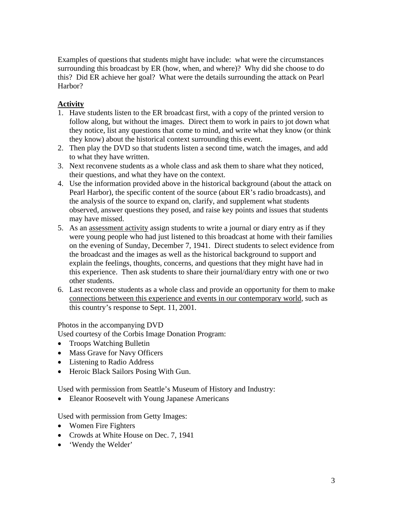Examples of questions that students might have include: what were the circumstances surrounding this broadcast by ER (how, when, and where)? Why did she choose to do this? Did ER achieve her goal? What were the details surrounding the attack on Pearl Harbor?

# **Activity**

- 1. Have students listen to the ER broadcast first, with a copy of the printed version to follow along, but without the images. Direct them to work in pairs to jot down what they notice, list any questions that come to mind, and write what they know (or think they know) about the historical context surrounding this event.
- 2. Then play the DVD so that students listen a second time, watch the images, and add to what they have written.
- 3. Next reconvene students as a whole class and ask them to share what they noticed, their questions, and what they have on the context.
- 4. Use the information provided above in the historical background (about the attack on Pearl Harbor), the specific content of the source (about ER's radio broadcasts), and the analysis of the source to expand on, clarify, and supplement what students observed, answer questions they posed, and raise key points and issues that students may have missed.
- 5. As an assessment activity assign students to write a journal or diary entry as if they were young people who had just listened to this broadcast at home with their families on the evening of Sunday, December 7, 1941. Direct students to select evidence from the broadcast and the images as well as the historical background to support and explain the feelings, thoughts, concerns, and questions that they might have had in this experience. Then ask students to share their journal/diary entry with one or two other students.
- 6. Last reconvene students as a whole class and provide an opportunity for them to make connections between this experience and events in our contemporary world, such as this country's response to Sept. 11, 2001.

Photos in the accompanying DVD

Used courtesy of the Corbis Image Donation Program:

- Troops Watching Bulletin
- Mass Grave for Navy Officers
- Listening to Radio Address
- Heroic Black Sailors Posing With Gun.

Used with permission from Seattle's Museum of History and Industry:

• Eleanor Roosevelt with Young Japanese Americans

Used with permission from Getty Images:

- Women Fire Fighters
- Crowds at White House on Dec. 7, 1941
- 'Wendy the Welder'